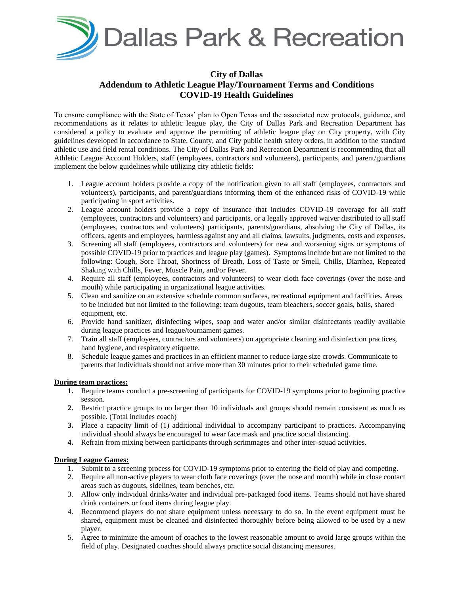

## **City of Dallas Addendum to Athletic League Play/Tournament Terms and Conditions COVID-19 Health Guidelines**

To ensure compliance with the State of Texas' plan to Open Texas and the associated new protocols, guidance, and recommendations as it relates to athletic league play, the City of Dallas Park and Recreation Department has considered a policy to evaluate and approve the permitting of athletic league play on City property, with City guidelines developed in accordance to State, County, and City public health safety orders, in addition to the standard athletic use and field rental conditions. The City of Dallas Park and Recreation Department is recommending that all Athletic League Account Holders, staff (employees, contractors and volunteers), participants, and parent/guardians implement the below guidelines while utilizing city athletic fields:

- 1. League account holders provide a copy of the notification given to all staff (employees, contractors and volunteers), participants, and parent/guardians informing them of the enhanced risks of COVID-19 while participating in sport activities.
- 2. League account holders provide a copy of insurance that includes COVID-19 coverage for all staff (employees, contractors and volunteers) and participants, or a legally approved waiver distributed to all staff (employees, contractors and volunteers) participants, parents/guardians, absolving the City of Dallas, its officers, agents and employees, harmless against any and all claims, lawsuits, judgments, costs and expenses.
- 3. Screening all staff (employees, contractors and volunteers) for new and worsening signs or symptoms of possible COVID-19 prior to practices and league play (games). Symptoms include but are not limited to the following: Cough, Sore Throat, Shortness of Breath, Loss of Taste or Smell, Chills, Diarrhea, Repeated Shaking with Chills, Fever, Muscle Pain, and/or Fever.
- 4. Require all staff (employees, contractors and volunteers) to wear cloth face coverings (over the nose and mouth) while participating in organizational league activities.
- 5. Clean and sanitize on an extensive schedule common surfaces, recreational equipment and facilities. Areas to be included but not limited to the following: team dugouts, team bleachers, soccer goals, balls, shared equipment, etc.
- 6. Provide hand sanitizer, disinfecting wipes, soap and water and/or similar disinfectants readily available during league practices and league/tournament games.
- 7. Train all staff (employees, contractors and volunteers) on appropriate cleaning and disinfection practices, hand hygiene, and respiratory etiquette.
- 8. Schedule league games and practices in an efficient manner to reduce large size crowds. Communicate to parents that individuals should not arrive more than 30 minutes prior to their scheduled game time.

## **During team practices:**

- **1.** Require teams conduct a pre-screening of participants for COVID-19 symptoms prior to beginning practice session.
- **2.** Restrict practice groups to no larger than 10 individuals and groups should remain consistent as much as possible. (Total includes coach)
- **3.** Place a capacity limit of (1) additional individual to accompany participant to practices. Accompanying individual should always be encouraged to wear face mask and practice social distancing.
- **4.** Refrain from mixing between participants through scrimmages and other inter-squad activities.

## **During League Games:**

- 1. Submit to a screening process for COVID-19 symptoms prior to entering the field of play and competing.
- 2. Require all non-active players to wear cloth face coverings (over the nose and mouth) while in close contact areas such as dugouts, sidelines, team benches, etc.
- 3. Allow only individual drinks/water and individual pre-packaged food items. Teams should not have shared drink containers or food items during league play.
- 4. Recommend players do not share equipment unless necessary to do so. In the event equipment must be shared, equipment must be cleaned and disinfected thoroughly before being allowed to be used by a new player.
- 5. Agree to minimize the amount of coaches to the lowest reasonable amount to avoid large groups within the field of play. Designated coaches should always practice social distancing measures.